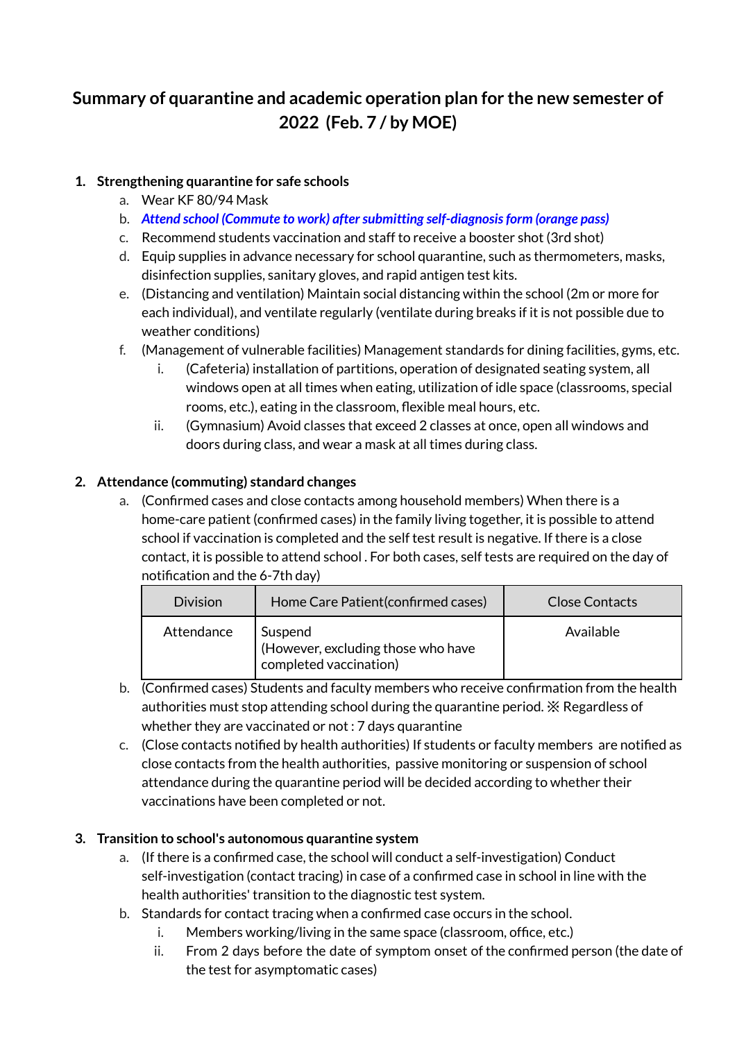# **Summary of quarantine and academic operation plan for the new semester of 2022 (Feb. 7 / by MOE)**

# **1. Strengthening quarantine for safe schools**

- a. Wear KF 80/94 Mask
- b. *Attend school (Commute to work) aftersubmitting self-diagnosisform (orange pass)*
- c. Recommend students vaccination and staff to receive a booster shot (3rd shot)
- d. Equip supplies in advance necessary for school quarantine, such as thermometers, masks, disinfection supplies, sanitary gloves, and rapid antigen test kits.
- e. (Distancing and ventilation) Maintain social distancing within the school (2m or more for each individual), and ventilate regularly (ventilate during breaks if it is not possible due to weather conditions)
- f. (Management of vulnerable facilities) Management standards for dining facilities, gyms, etc.
	- i. (Cafeteria) installation of partitions, operation of designated seating system, all windows open at all times when eating, utilization of idle space (classrooms, special rooms, etc.), eating in the classroom, flexible meal hours, etc.
	- ii. (Gymnasium) Avoid classes that exceed 2 classes at once, open all windows and doors during class, and wear a mask at all times during class.

# **2. Attendance (commuting) standard changes**

a. (Confirmed cases and close contacts among household members) When there is a home-care patient (confirmed cases) in the family living together, it is possible to attend school if vaccination is completed and the self test result is negative. If there is a close contact, it is possible to attend school . For both cases, self tests are required on the day of notification and the 6-7th day)

| <b>Division</b> | Home Care Patient (confirmed cases)                                     | <b>Close Contacts</b> |
|-----------------|-------------------------------------------------------------------------|-----------------------|
| Attendance      | Suspend<br>(However, excluding those who have<br>completed vaccination) | Available             |

- b. (Confirmed cases) Students and faculty members who receive confirmation from the health authorities must stop attending school during the quarantine period. ※ Regardless of whether they are vaccinated or not : 7 days quarantine
- c. (Close contacts notified by health authorities) If students or faculty members are notified as close contacts from the health authorities, passive monitoring or suspension of school attendance during the quarantine period will be decided according to whether their vaccinations have been completed or not.

# **3. Transition to school's autonomous quarantine system**

- a. (If there is a confirmed case, the school will conduct a self-investigation) Conduct self-investigation (contact tracing) in case of a confirmed case in school in line with the health authorities' transition to the diagnostic test system.
- b. Standards for contact tracing when a confirmed case occurs in the school.
	- i. Members working/living in the same space (classroom, office, etc.)
	- ii. From 2 days before the date of symptom onset of the confirmed person (the date of the test for asymptomatic cases)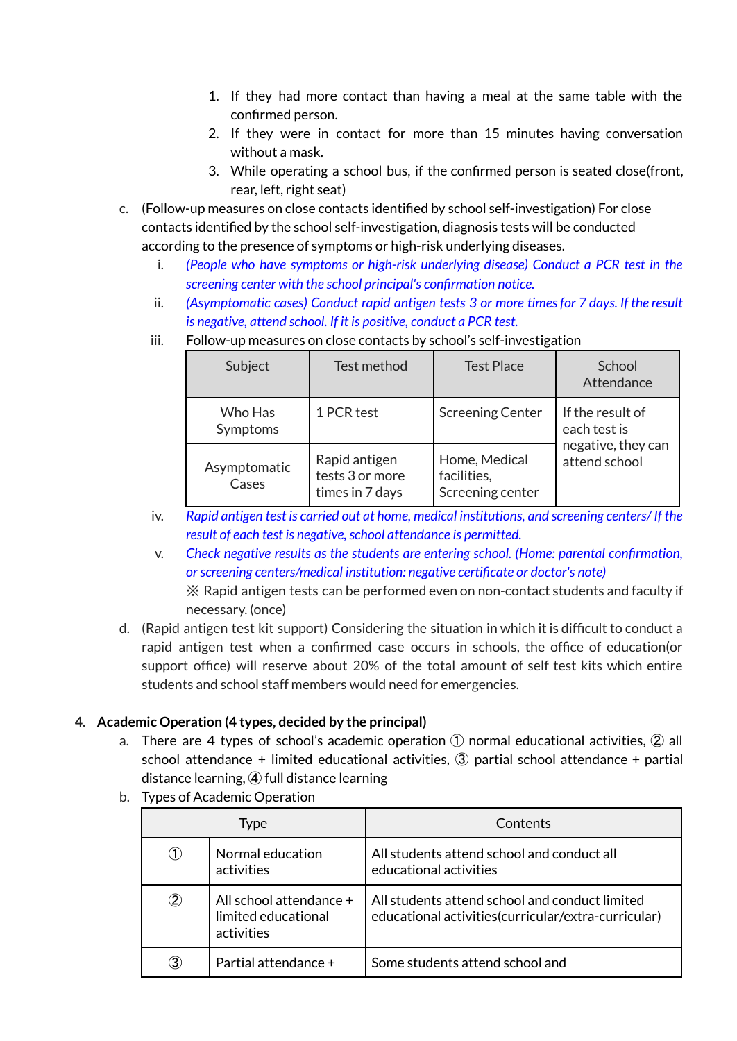- 1. If they had more contact than having a meal at the same table with the confirmed person.
- 2. If they were in contact for more than 15 minutes having conversation without a mask.
- 3. While operating a school bus, if the confirmed person is seated close(front, rear, left, right seat)
- c. (Follow-up measures on close contacts identified by school self-investigation) For close contacts identified by the school self-investigation, diagnosis tests will be conducted according to the presence of symptoms or high-risk underlying diseases.
	- i. *(People who have symptoms or high-risk underlying disease) Conduct a PCR test in the screening center with the school principal's confirmation notice.*
	- ii. *(Asymptomatic cases) Conduct rapid antigen tests 3 or more timesfor 7 days. If the result is negative, attend school. If it is positive, conduct a PCR test.*

| Subject               | Test method                                         | <b>Test Place</b>                                | School<br>Attendance                |  |
|-----------------------|-----------------------------------------------------|--------------------------------------------------|-------------------------------------|--|
| Who Has<br>Symptoms   | 1 PCR test                                          | <b>Screening Center</b>                          | If the result of<br>each test is    |  |
| Asymptomatic<br>Cases | Rapid antigen<br>tests 3 or more<br>times in 7 days | Home, Medical<br>facilities,<br>Screening center | negative, they can<br>attend school |  |

iii. Follow-up measures on close contacts by school's self-investigation

- iv. *Rapid antigen test is carried out at home, medical institutions, and screening centers/ If the result* of *each test is negative, school attendance is permitted.*
- v. *Check negative results as the students are entering school. (Home: parental confirmation, orscreening centers/medical institution: negative certificate or doctor's note)* ※ Rapid antigen tests can be performed even on non-contact students and faculty if

necessary. (once)

d. (Rapid antigen test kit support) Considering the situation in which it is difficult to conduct a rapid antigen test when a confirmed case occurs in schools, the office of education(or support office) will reserve about 20% of the total amount of self test kits which entire students and school staff members would need for emergencies.

# **4. Academic Operation (4 types, decided by the principal)**

- a. There are 4 types of school's academic operation  $(1)$  normal educational activities,  $(2)$  all school attendance + limited educational activities, ③ partial school attendance + partial distance learning, ④ full distance learning
- b. Types of Academic Operation

| Type             |                                                              | Contents                                                                                               |
|------------------|--------------------------------------------------------------|--------------------------------------------------------------------------------------------------------|
| $\left(1\right)$ | Normal education<br>activities                               | All students attend school and conduct all<br>educational activities                                   |
| $^\copyright$    | All school attendance +<br>limited educational<br>activities | All students attend school and conduct limited<br>educational activities (curricular/extra-curricular) |
| 3)               | Partial attendance +                                         | Some students attend school and                                                                        |